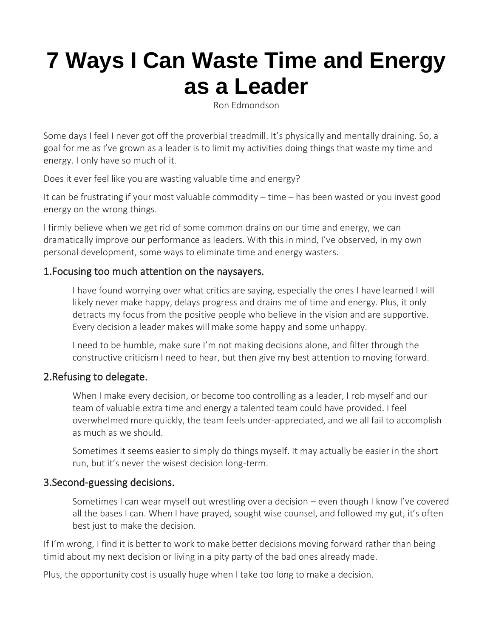# **[7 Ways I Can Waste Time and Energy](https://ronedmondson.us6.list-manage.com/track/click?u=bd344dfd2a3a707b4b5123cb6&id=48a47cb598&e=607321b968)  [as a Leader](https://ronedmondson.us6.list-manage.com/track/click?u=bd344dfd2a3a707b4b5123cb6&id=48a47cb598&e=607321b968)**

Ron Edmondson

Some days I feel I never got off the proverbial treadmill. It's physically and mentally draining. So, a goal for me as I've grown as a leader is to limit my activities doing things that waste my time and energy. I only have so much of it.

Does it ever feel like you are wasting valuable time and energy?

It can be frustrating if your most valuable commodity – time – has been wasted or you invest good energy on the wrong things.

I firmly believe when we get rid of some common drains on our time and energy, we can dramatically improve our performance as leaders. With this in mind, I've observed, in my own personal development, some ways to eliminate time and energy wasters.

### 1.Focusing too much attention on the naysayers.

I have found worrying over what critics are saying, especially the ones I have learned I will likely never make happy, delays progress and drains me of time and energy. Plus, it only detracts my focus from the positive people who believe in the vision and are supportive. Every decision a leader makes will make some happy and some unhappy.

I need to be humble, make sure I'm not making decisions alone, and filter through the constructive criticism I need to hear, but then give my best attention to moving forward.

# 2.Refusing to delegate.

When I make every decision, or become too controlling as a leader, I rob myself and our team of valuable extra time and energy a talented team could have provided. I feel overwhelmed more quickly, the team feels under-appreciated, and we all fail to accomplish as much as we should.

Sometimes it seems easier to simply do things myself. It may actually be easier in the short run, but it's never the wisest decision long-term.

#### 3.Second-guessing decisions.

Sometimes I can wear myself out wrestling over a decision – even though I know I've covered all the bases I can. When I have prayed, sought wise counsel, and followed my gut, it's often best just to make the decision.

If I'm wrong, I find it is better to work to make better decisions moving forward rather than being timid about my next decision or living in a pity party of the bad ones already made.

Plus, the opportunity cost is usually huge when I take too long to make a decision.